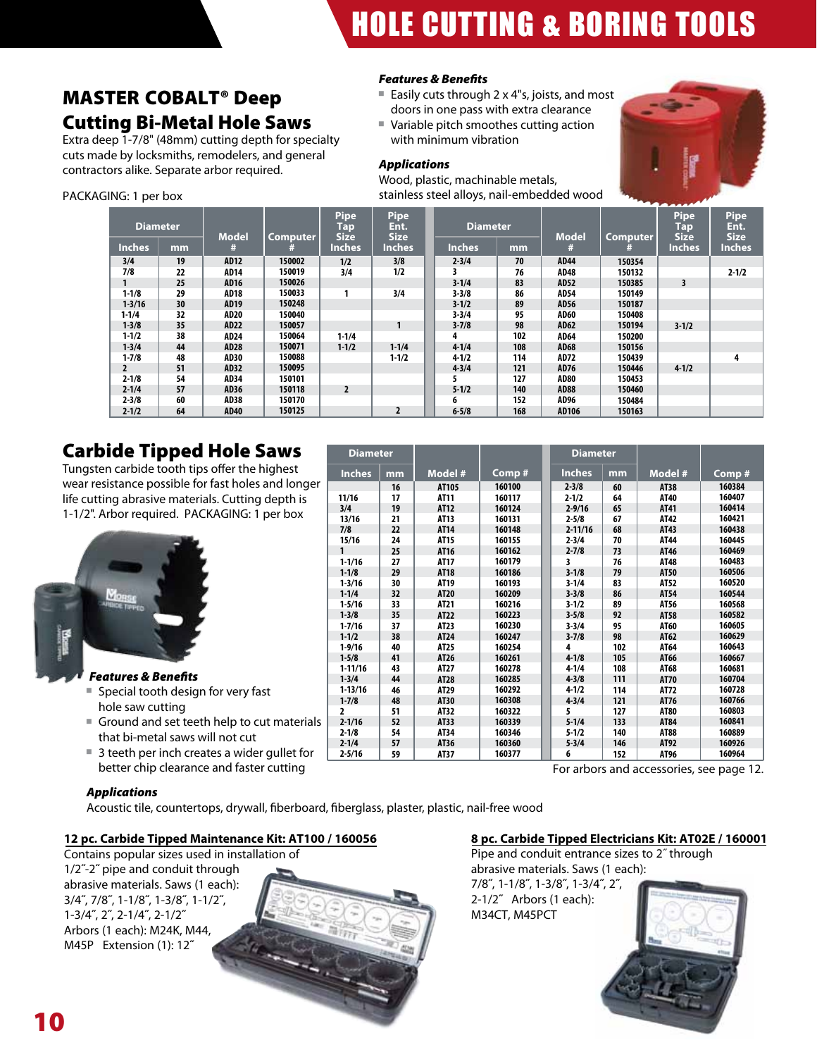# HOLE CUTTING & BORING TOOLS

# MASTER COBALT® Deep Cutting Bi-Metal Hole Saws

Extra deep 1-7/8" (48mm) cutting depth for specialty cuts made by locksmiths, remodelers, and general contractors alike. Separate arbor required.

## PACKAGING: 1 per box

### *Features & Benefits*

- Easily cuts through  $2 \times 4$ "s, joists, and most doors in one pass with extra clearance
- Variable pitch smoothes cutting action with minimum vibration

#### *Applications*

Wood, plastic, machinable metals, stainless steel alloys, nail-embedded wood



| <b>Diameter</b> |    | <b>Model</b> | <b>Computer</b> | <b>Pipe</b><br><b>Pipe</b><br><b>Diameter</b><br>Ent.<br>Tap<br><b>Size</b><br><b>Size</b> |               |               |     | <b>Model</b> | <b>Computer</b> | <b>Pipe</b><br>Tap<br><b>Size</b> | <b>Pipe</b><br>Ent.<br><b>Size</b> |
|-----------------|----|--------------|-----------------|--------------------------------------------------------------------------------------------|---------------|---------------|-----|--------------|-----------------|-----------------------------------|------------------------------------|
| <b>Inches</b>   | mm | #            |                 | <b>Inches</b>                                                                              | <b>Inches</b> | <b>Inches</b> | mm  | #            |                 | <b>Inches</b>                     | <b>Inches</b>                      |
| 3/4             | 19 | AD12         | 150002          | 1/2                                                                                        | 3/8           | $2 - 3/4$     | 70  | AD44         | 150354          |                                   |                                    |
| 7/8             | 22 | AD14         | 150019          | 3/4                                                                                        | 1/2           |               | 76  | AD48         | 150132          |                                   | $2 - 1/2$                          |
|                 | 25 | AD16         | 150026          |                                                                                            |               | $3 - 1/4$     | 83  | AD52         | 150385          | $\overline{\mathbf{3}}$           |                                    |
| $1 - 1/8$       | 29 | AD18         | 150033          |                                                                                            | 3/4           | $3 - 3/8$     | 86  | AD54         | 150149          |                                   |                                    |
| $1 - 3/16$      | 30 | AD19         | 150248          |                                                                                            |               | $3 - 1/2$     | 89  | AD56         | 150187          |                                   |                                    |
| $1 - 1/4$       | 32 | AD20         | 150040          |                                                                                            |               | $3 - 3/4$     | 95  | AD60         | 150408          |                                   |                                    |
| $1 - 3/8$       | 35 | AD22         | 150057          |                                                                                            |               | $3 - 7/8$     | 98  | AD62         | 150194          | $3 - 1/2$                         |                                    |
| $1 - 1/2$       | 38 | AD24         | 150064          | $1 - 1/4$                                                                                  |               | 4             | 102 | AD64         | 150200          |                                   |                                    |
| $1 - 3/4$       | 44 | AD28         | 150071          | $1 - 1/2$                                                                                  | $1 - 1/4$     | $4 - 1/4$     | 108 | <b>AD68</b>  | 150156          |                                   |                                    |
| $1 - 7/8$       | 48 | AD30         | 150088          |                                                                                            | $1 - 1/2$     | $4 - 1/2$     | 114 | AD72         | 150439          |                                   | 4                                  |
| $\overline{2}$  | 51 | AD32         | 150095          |                                                                                            |               | $4 - 3/4$     | 121 | AD76         | 150446          | $4 - 1/2$                         |                                    |
| $2 - 1/8$       | 54 | AD34         | 150101          |                                                                                            |               |               | 127 | AD80         | 150453          |                                   |                                    |
| $2 - 1/4$       | 57 | AD36         | 150118          | $\overline{2}$                                                                             |               | $5 - 1/2$     | 140 | <b>AD88</b>  | 150460          |                                   |                                    |
| $2 - 3/8$       | 60 | AD38         | 150170          |                                                                                            |               | 6             | 152 | AD96         | 150484          |                                   |                                    |
| $2 - 1/2$       | 64 | AD40         | 150125          |                                                                                            |               | $6 - 5/8$     | 168 | AD106        | 150163          |                                   |                                    |

# Carbide Tipped Hole Saws

Tungsten carbide tooth tips offer the highest wear resistance possible for fast holes and longer life cutting abrasive materials. Cutting depth is 1-1/2". Arbor required. PACKAGING: 1 per box



*Features & Benefits*

- Special tooth design for very fast hole saw cutting
- Ground and set teeth help to cut materials that bi-metal saws will not cut
- 3 teeth per inch creates a wider gullet for better chip clearance and faster cutting

### *Applications*

Acoustic tile, countertops, drywall, fiberboard, fiberglass, plaster, plastic, nail-free wood

### **12 pc. Carbide Tipped Maintenance Kit: AT100 / 160056**

Contains popular sizes used in installation of 1/2**˝**-2**˝** pipe and conduit through abrasive materials. Saws (1 each): 3/4**˝**, 7/8**˝**, 1-1/8**˝**, 1-3/8**˝**, 1-1/2**˝**, 1-3/4**˝**, 2**˝**, 2-1/4**˝**, 2-1/2**˝** Arbors (1 each): M24K, M44, M45P Extension (1): 12**˝**



For arbors and accessories, see page 12.

# **8 pc. Carbide Tipped Electricians Kit: AT02E / 160001**

Pipe and conduit entrance sizes to 2˝ through abrasive materials. Saws (1 each):

7/8**˝**, 1-1/8**˝**, 1-3/8**˝**, 1-3/4**˝**, 2**˝**, 2-1/2**˝** Arbors (1 each): M34CT, M45PCT